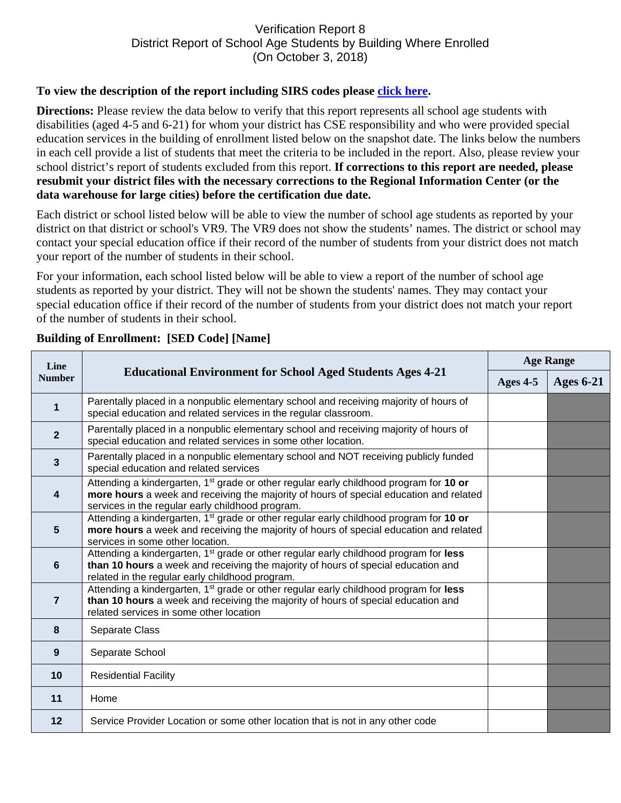## Verification Report 8 District Report of School Age Students by Building Where Enrolled (On October 3, 2018)

## **To view the description of the report including SIRS codes please click here.**

**Directions:** Please review the data below to verify that this report represents all school age students with disabilities (aged 4-5 and 6-21) for whom your district has CSE responsibility and who were provided special education services in the building of enrollment listed below on the snapshot date. The links below the numbers in each cell provide a list of students that meet the criteria to be included in the report. Also, please review your school district's report of students excluded from this report. **If corrections to this report are needed, please resubmit your district files with the necessary corrections to the Regional Information Center (or the data warehouse for large cities) before the certification due date.** 

Each district or school listed below will be able to view the number of school age students as reported by your district on that district or school's VR9. The VR9 does not show the students' names. The district or school may contact your special education office if their record of the number of students from your district does not match your report of the number of students in their school.

For your information, each school listed below will be able to view a report of the number of school age students as reported by your district. They will not be shown the students' names. They may contact your special education office if their record of the number of students from your district does not match your report of the number of students in their school.

| Line<br><b>Number</b>   | <b>Educational Environment for School Aged Students Ages 4-21</b>                                                                                                                                                                                | <b>Age Range</b> |                  |
|-------------------------|--------------------------------------------------------------------------------------------------------------------------------------------------------------------------------------------------------------------------------------------------|------------------|------------------|
|                         |                                                                                                                                                                                                                                                  | Ages $4-5$       | <b>Ages 6-21</b> |
| 1                       | Parentally placed in a nonpublic elementary school and receiving majority of hours of<br>special education and related services in the regular classroom.                                                                                        |                  |                  |
| $\overline{2}$          | Parentally placed in a nonpublic elementary school and receiving majority of hours of<br>special education and related services in some other location.                                                                                          |                  |                  |
| $\overline{3}$          | Parentally placed in a nonpublic elementary school and NOT receiving publicly funded<br>special education and related services                                                                                                                   |                  |                  |
| $\overline{\mathbf{4}}$ | Attending a kindergarten, 1 <sup>st</sup> grade or other regular early childhood program for 10 or<br>more hours a week and receiving the majority of hours of special education and related<br>services in the regular early childhood program. |                  |                  |
| $5\phantom{1}$          | Attending a kindergarten, 1 <sup>st</sup> grade or other regular early childhood program for 10 or<br>more hours a week and receiving the majority of hours of special education and related<br>services in some other location.                 |                  |                  |
| 6                       | Attending a kindergarten, 1 <sup>st</sup> grade or other regular early childhood program for less<br>than 10 hours a week and receiving the majority of hours of special education and<br>related in the regular early childhood program.        |                  |                  |
| $\overline{7}$          | Attending a kindergarten, 1 <sup>st</sup> grade or other regular early childhood program for less<br>than 10 hours a week and receiving the majority of hours of special education and<br>related services in some other location                |                  |                  |
| 8                       | Separate Class                                                                                                                                                                                                                                   |                  |                  |
| 9                       | Separate School                                                                                                                                                                                                                                  |                  |                  |
| 10                      | <b>Residential Facility</b>                                                                                                                                                                                                                      |                  |                  |
| 11                      | Home                                                                                                                                                                                                                                             |                  |                  |
| 12                      | Service Provider Location or some other location that is not in any other code                                                                                                                                                                   |                  |                  |

## **Building of Enrollment: [SED Code] [Name]**